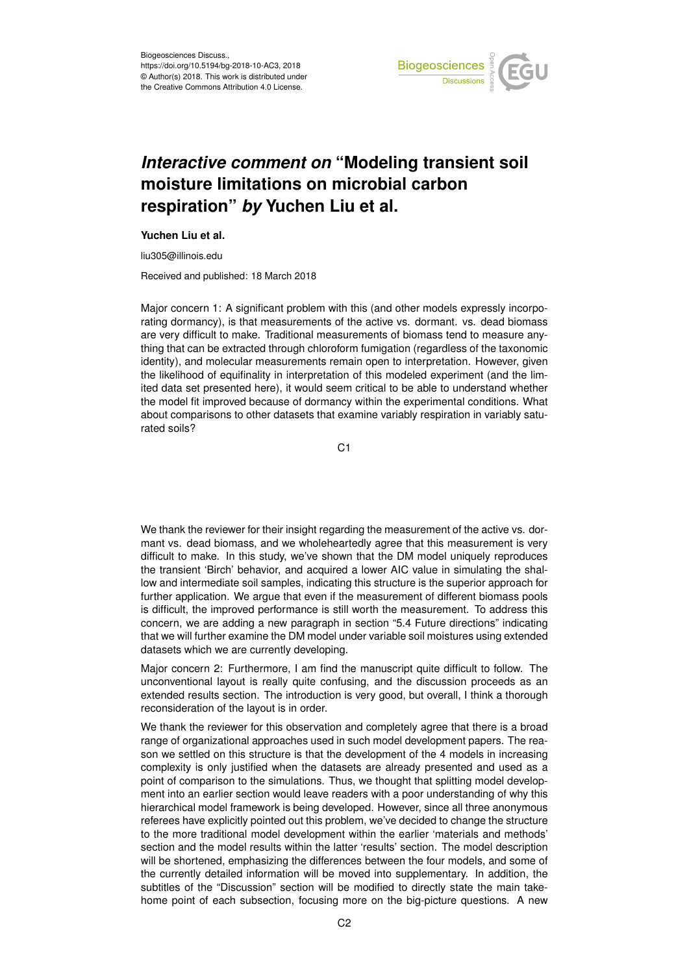

## *Interactive comment on* **"Modeling transient soil moisture limitations on microbial carbon respiration"** *by* **Yuchen Liu et al.**

## **Yuchen Liu et al.**

liu305@illinois.edu

Received and published: 18 March 2018

Major concern 1: A significant problem with this (and other models expressly incorporating dormancy), is that measurements of the active vs. dormant. vs. dead biomass are very difficult to make. Traditional measurements of biomass tend to measure anything that can be extracted through chloroform fumigation (regardless of the taxonomic identity), and molecular measurements remain open to interpretation. However, given the likelihood of equifinality in interpretation of this modeled experiment (and the limited data set presented here), it would seem critical to be able to understand whether the model fit improved because of dormancy within the experimental conditions. What about comparisons to other datasets that examine variably respiration in variably saturated soils?

C<sub>1</sub>

We thank the reviewer for their insight regarding the measurement of the active vs. dormant vs. dead biomass, and we wholeheartedly agree that this measurement is very difficult to make. In this study, we've shown that the DM model uniquely reproduces the transient 'Birch' behavior, and acquired a lower AIC value in simulating the shallow and intermediate soil samples, indicating this structure is the superior approach for further application. We argue that even if the measurement of different biomass pools is difficult, the improved performance is still worth the measurement. To address this concern, we are adding a new paragraph in section "5.4 Future directions" indicating that we will further examine the DM model under variable soil moistures using extended datasets which we are currently developing.

Major concern 2: Furthermore, I am find the manuscript quite difficult to follow. The unconventional layout is really quite confusing, and the discussion proceeds as an extended results section. The introduction is very good, but overall, I think a thorough reconsideration of the layout is in order.

We thank the reviewer for this observation and completely agree that there is a broad range of organizational approaches used in such model development papers. The reason we settled on this structure is that the development of the 4 models in increasing complexity is only justified when the datasets are already presented and used as a point of comparison to the simulations. Thus, we thought that splitting model development into an earlier section would leave readers with a poor understanding of why this hierarchical model framework is being developed. However, since all three anonymous referees have explicitly pointed out this problem, we've decided to change the structure to the more traditional model development within the earlier 'materials and methods' section and the model results within the latter 'results' section. The model description will be shortened, emphasizing the differences between the four models, and some of the currently detailed information will be moved into supplementary. In addition, the subtitles of the "Discussion" section will be modified to directly state the main takehome point of each subsection, focusing more on the big-picture questions. A new